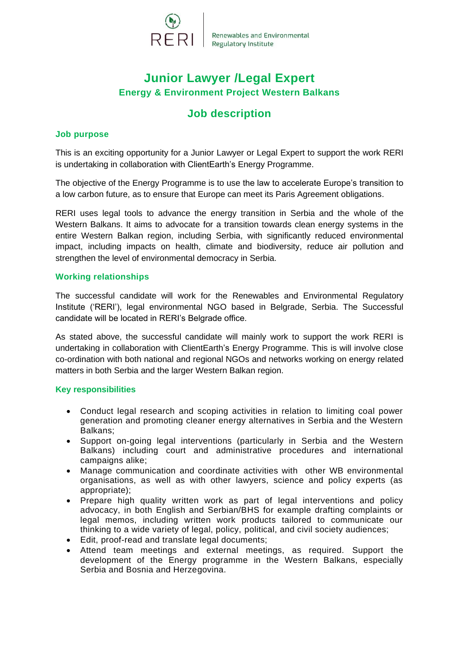

# **Junior Lawyer /Legal Expert Energy & Environment Project Western Balkans**

# **Job description**

### **Job purpose**

This is an exciting opportunity for a Junior Lawyer or Legal Expert to support the work RERI is undertaking in collaboration with ClientEarth's Energy Programme.

The objective of the Energy Programme is to use the law to accelerate Europe's transition to a low carbon future, as to ensure that Europe can meet its Paris Agreement obligations.

RERI uses legal tools to advance the energy transition in Serbia and the whole of the Western Balkans. It aims to advocate for a transition towards clean energy systems in the entire Western Balkan region, including Serbia, with significantly reduced environmental impact, including impacts on health, climate and biodiversity, reduce air pollution and strengthen the level of environmental democracy in Serbia.

### **Working relationships**

The successful candidate will work for the Renewables and Environmental Regulatory Institute ('RERI'), legal environmental NGO based in Belgrade, Serbia. The Successful candidate will be located in RERI's Belgrade office.

As stated above, the successful candidate will mainly work to support the work RERI is undertaking in collaboration with ClientEarth's Energy Programme. This is will involve close co-ordination with both national and regional NGOs and networks working on energy related matters in both Serbia and the larger Western Balkan region.

### **Key responsibilities**

- Conduct legal research and scoping activities in relation to limiting coal power generation and promoting cleaner energy alternatives in Serbia and the Western Balkans;
- Support on-going legal interventions (particularly in Serbia and the Western Balkans) including court and administrative procedures and international campaigns alike;
- Manage communication and coordinate activities with other WB environmental organisations, as well as with other lawyers, science and policy experts (as appropriate);
- Prepare high quality written work as part of legal interventions and policy advocacy, in both English and Serbian/BHS for example drafting complaints or legal memos, including written work products tailored to communicate our thinking to a wide variety of legal, policy, political, and civil society audiences;
- Edit, proof-read and translate legal documents;
- Attend team meetings and external meetings, as required. Support the development of the Energy programme in the Western Balkans, especially Serbia and Bosnia and Herzegovina.